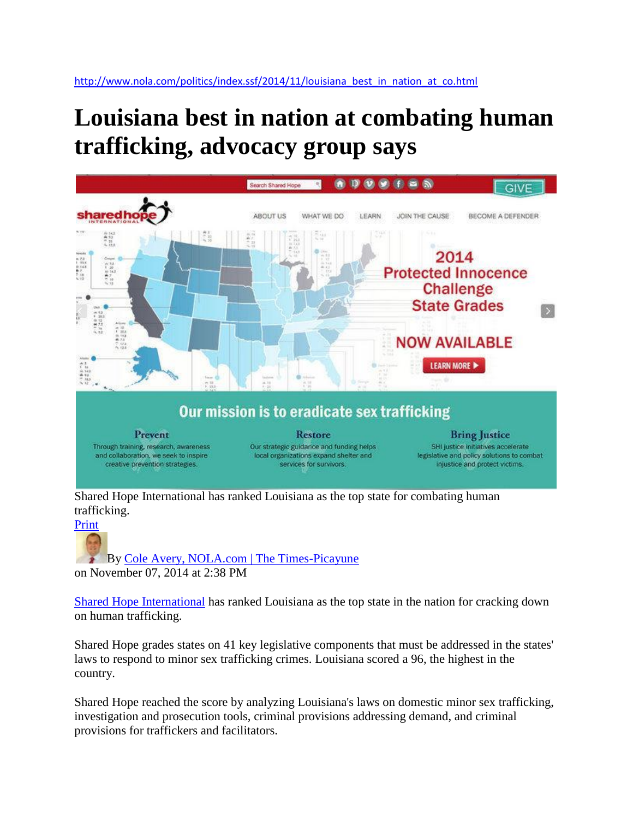## **Louisiana best in nation at combating human trafficking, advocacy group says**



Shared Hope International has ranked Louisiana as the top state for combating human trafficking.



[B](http://connect.nola.com/user/Cole_Avery/index.html)y [Cole Avery, NOLA.com | The Times-Picayune](http://connect.nola.com/user/Cole_Avery/posts.html)  on November 07, 2014 at 2:38 PM

[Shared Hope International](http://sharedhope.org/) has ranked Louisiana as the top state in the nation for cracking down on human trafficking.

Shared Hope grades states on 41 key legislative components that must be addressed in the states' laws to respond to minor sex trafficking crimes. Louisiana scored a 96, the highest in the country.

Shared Hope reached the score by analyzing Louisiana's laws on domestic minor sex trafficking, investigation and prosecution tools, criminal provisions addressing demand, and criminal provisions for traffickers and facilitators.